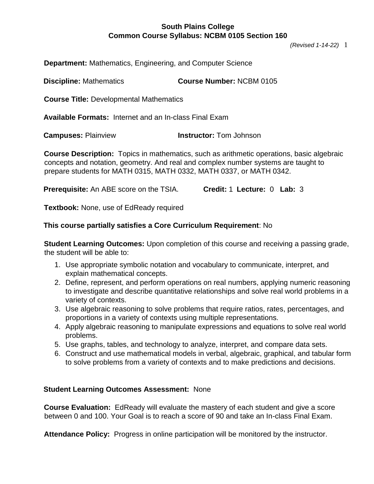*(Revised 1-14-22)* 1

**Department:** Mathematics, Engineering, and Computer Science

**Discipline:** Mathematics **Course Number:** NCBM 0105

**Course Title:** Developmental Mathematics

**Available Formats:** Internet and an In-class Final Exam

**Campuses:** Plainview **Instructor:** Tom Johnson

**Course Description:** Topics in mathematics, such as arithmetic operations, basic algebraic concepts and notation, geometry. And real and complex number systems are taught to prepare students for MATH 0315, MATH 0332, MATH 0337, or MATH 0342.

**Prerequisite:** An ABE score on the TSIA. **Credit:** 1 **Lecture:** 0 **Lab:** 3

**Textbook:** None, use of EdReady required

#### **This course partially satisfies a Core Curriculum Requirement**: No

**Student Learning Outcomes:** Upon completion of this course and receiving a passing grade, the student will be able to:

- 1. Use appropriate symbolic notation and vocabulary to communicate, interpret, and explain mathematical concepts.
- 2. Define, represent, and perform operations on real numbers, applying numeric reasoning to investigate and describe quantitative relationships and solve real world problems in a variety of contexts.
- 3. Use algebraic reasoning to solve problems that require ratios, rates, percentages, and proportions in a variety of contexts using multiple representations.
- 4. Apply algebraic reasoning to manipulate expressions and equations to solve real world problems.
- 5. Use graphs, tables, and technology to analyze, interpret, and compare data sets.
- 6. Construct and use mathematical models in verbal, algebraic, graphical, and tabular form to solve problems from a variety of contexts and to make predictions and decisions.

#### **Student Learning Outcomes Assessment:** None

**Course Evaluation:** EdReady will evaluate the mastery of each student and give a score between 0 and 100. Your Goal is to reach a score of 90 and take an In-class Final Exam.

**Attendance Policy:** Progress in online participation will be monitored by the instructor.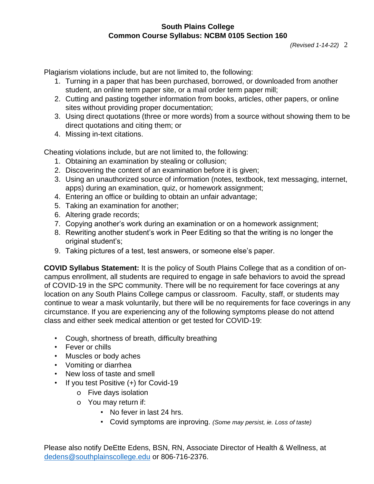Plagiarism violations include, but are not limited to, the following:

- 1. Turning in a paper that has been purchased, borrowed, or downloaded from another student, an online term paper site, or a mail order term paper mill;
- 2. Cutting and pasting together information from books, articles, other papers, or online sites without providing proper documentation;
- 3. Using direct quotations (three or more words) from a source without showing them to be direct quotations and citing them; or
- 4. Missing in-text citations.

Cheating violations include, but are not limited to, the following:

- 1. Obtaining an examination by stealing or collusion;
- 2. Discovering the content of an examination before it is given;
- 3. Using an unauthorized source of information (notes, textbook, text messaging, internet, apps) during an examination, quiz, or homework assignment;
- 4. Entering an office or building to obtain an unfair advantage;
- 5. Taking an examination for another;
- 6. Altering grade records;
- 7. Copying another's work during an examination or on a homework assignment;
- 8. Rewriting another student's work in Peer Editing so that the writing is no longer the original student's;
- 9. Taking pictures of a test, test answers, or someone else's paper.

**COVID Syllabus Statement:** It is the policy of South Plains College that as a condition of oncampus enrollment, all students are required to engage in safe behaviors to avoid the spread of COVID-19 in the SPC community. There will be no requirement for face coverings at any location on any South Plains College campus or classroom. Faculty, staff, or students may continue to wear a mask voluntarily, but there will be no requirements for face coverings in any circumstance. If you are experiencing any of the following symptoms please do not attend class and either seek medical attention or get tested for COVID-19:

- Cough, shortness of breath, difficulty breathing
- Fever or chills
- Muscles or body aches
- Vomiting or diarrhea
- New loss of taste and smell
- If you test Positive (+) for Covid-19
	- o Five days isolation
	- o You may return if:
		- No fever in last 24 hrs.
		- Covid symptoms are inproving. *(Some may persist, ie. Loss of taste)*

Please also notify DeEtte Edens, BSN, RN, Associate Director of Health & Wellness, at dedens@southplainscollege.edu or 806-716-2376.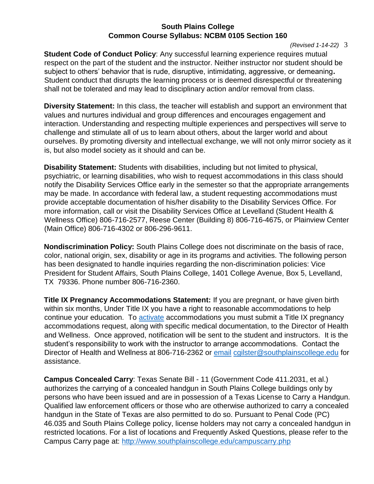*(Revised 1-14-22)* 3

**Student Code of Conduct Policy:** Any successful learning experience requires mutual respect on the part of the student and the instructor. Neither instructor nor student should be subject to others' behavior that is rude, disruptive, intimidating, aggressive, or demeaning**.** Student conduct that disrupts the learning process or is deemed disrespectful or threatening shall not be tolerated and may lead to disciplinary action and/or removal from class.

**Diversity Statement:** In this class, the teacher will establish and support an environment that values and nurtures individual and group differences and encourages engagement and interaction. Understanding and respecting multiple experiences and perspectives will serve to challenge and stimulate all of us to learn about others, about the larger world and about ourselves. By promoting diversity and intellectual exchange, we will not only mirror society as it is, but also model society as it should and can be.

**Disability Statement:** Students with disabilities, including but not limited to physical, psychiatric, or learning disabilities, who wish to request accommodations in this class should notify the Disability Services Office early in the semester so that the appropriate arrangements may be made. In accordance with federal law, a student requesting accommodations must provide acceptable documentation of his/her disability to the Disability Services Office. For more information, call or visit the Disability Services Office at Levelland (Student Health & Wellness Office) 806-716-2577, Reese Center (Building 8) 806-716-4675, or Plainview Center (Main Office) 806-716-4302 or 806-296-9611.

**Nondiscrimination Policy:** South Plains College does not discriminate on the basis of race, color, national origin, sex, disability or age in its programs and activities. The following person has been designated to handle inquiries regarding the non-discrimination policies: Vice President for Student Affairs, South Plains College, 1401 College Avenue, Box 5, Levelland, TX 79336. Phone number 806-716-2360.

**Title IX Pregnancy Accommodations Statement:** If you are pregnant, or have given birth within six months, Under Title IX you have a right to reasonable accommodations to help continue your education. To [activate](http://www.southplainscollege.edu/employees/manualshandbooks/facultyhandbook/sec4.php) accommodations you must submit a Title IX pregnancy accommodations request, along with specific medical documentation, to the Director of Health and Wellness. Once approved, notification will be sent to the student and instructors. It is the student's responsibility to work with the instructor to arrange accommodations. Contact the Di[r](http://www.southplainscollege.edu/employees/manualshandbooks/facultyhandbook/sec4.php)ector of Health and Wellness at 806-716-2362 or [email](http://www.southplainscollege.edu/employees/manualshandbooks/facultyhandbook/sec4.php) cgilster@southplainscollege.edu for assistance.

**Campus Concealed Carry**: Texas Senate Bill - 11 (Government Code 411.2031, et al.) authorizes the carrying of a concealed handgun in South Plains College buildings only by persons who have been issued and are in possession of a Texas License to Carry a Handgun. Qualified law enforcement officers or those who are otherwise authorized to carry a concealed handgun in the State of Texas are also permitted to do so. Pursuant to Penal Code (PC) 46.035 and South Plains College policy, license holders may not carry a concealed handgun in restricted locations. For a list of locations and Frequently Asked Questions, please refer to the Campus Carry page at: <http://www.southplainscollege.edu/campuscarry.php>